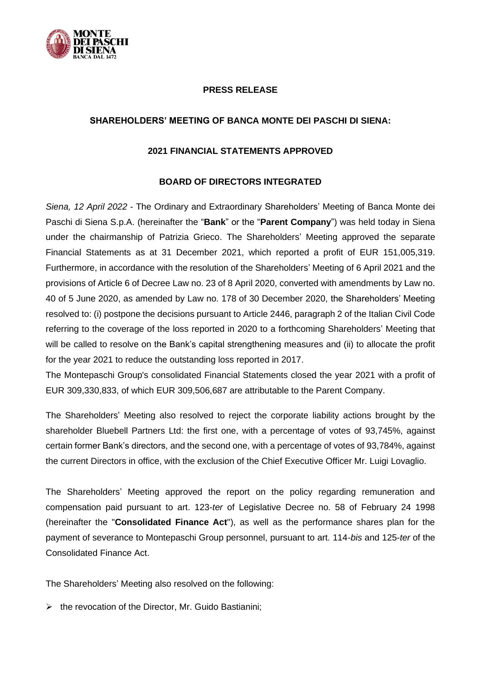

## **PRESS RELEASE**

## **SHAREHOLDERS' MEETING OF BANCA MONTE DEI PASCHI DI SIENA:**

## **2021 FINANCIAL STATEMENTS APPROVED**

## **BOARD OF DIRECTORS INTEGRATED**

*Siena, 12 April 2022* - The Ordinary and Extraordinary Shareholders' Meeting of Banca Monte dei Paschi di Siena S.p.A. (hereinafter the "**Bank**" or the "**Parent Company**") was held today in Siena under the chairmanship of Patrizia Grieco. The Shareholders' Meeting approved the separate Financial Statements as at 31 December 2021, which reported a profit of EUR 151,005,319. Furthermore, in accordance with the resolution of the Shareholders' Meeting of 6 April 2021 and the provisions of Article 6 of Decree Law no. 23 of 8 April 2020, converted with amendments by Law no. 40 of 5 June 2020, as amended by Law no. 178 of 30 December 2020, the Shareholders' Meeting resolved to: (i) postpone the decisions pursuant to Article 2446, paragraph 2 of the Italian Civil Code referring to the coverage of the loss reported in 2020 to a forthcoming Shareholders' Meeting that will be called to resolve on the Bank's capital strengthening measures and (ii) to allocate the profit for the year 2021 to reduce the outstanding loss reported in 2017.

The Montepaschi Group's consolidated Financial Statements closed the year 2021 with a profit of EUR 309,330,833, of which EUR 309,506,687 are attributable to the Parent Company.

The Shareholders' Meeting also resolved to reject the corporate liability actions brought by the shareholder Bluebell Partners Ltd: the first one, with a percentage of votes of 93,745%, against certain former Bank's directors, and the second one, with a percentage of votes of 93,784%, against the current Directors in office, with the exclusion of the Chief Executive Officer Mr. Luigi Lovaglio.

The Shareholders' Meeting approved the report on the policy regarding remuneration and compensation paid pursuant to art. 123-*ter* of Legislative Decree no. 58 of February 24 1998 (hereinafter the "**Consolidated Finance Act**"), as well as the performance shares plan for the payment of severance to Montepaschi Group personnel, pursuant to art. 114-*bis* and 125-*ter* of the Consolidated Finance Act.

The Shareholders' Meeting also resolved on the following:

➢ the revocation of the Director, Mr. Guido Bastianini;